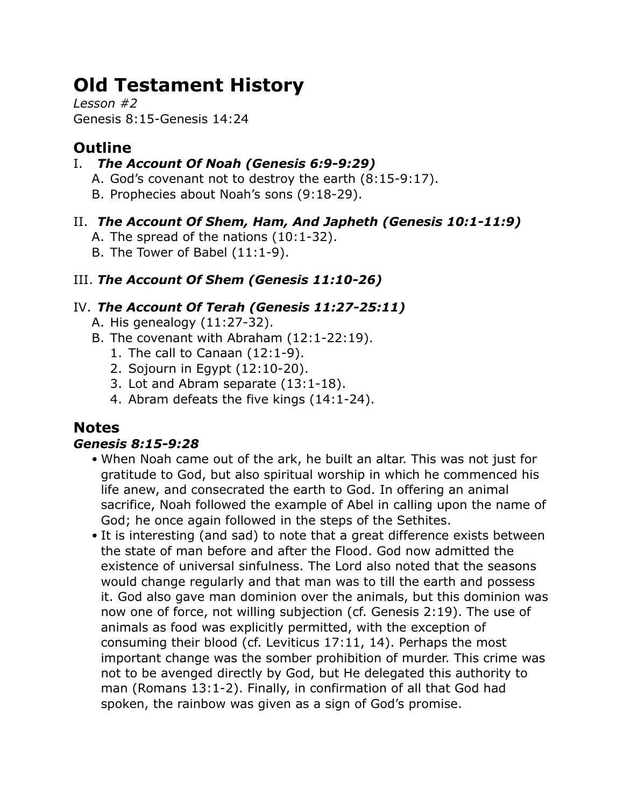# **Old Testament History**

*Lesson #2* Genesis 8:15-Genesis 14:24

# **Outline**

## I. *The Account Of Noah (Genesis 6:9-9:29)*

- A. God's covenant not to destroy the earth (8:15-9:17).
- B. Prophecies about Noah's sons (9:18-29).

# II. *The Account Of Shem, Ham, And Japheth (Genesis 10:1-11:9)*

- A. The spread of the nations (10:1-32).
- B. The Tower of Babel (11:1-9).

## III. *The Account Of Shem (Genesis 11:10-26)*

## IV. *The Account Of Terah (Genesis 11:27-25:11)*

- A. His genealogy (11:27-32).
- B. The covenant with Abraham (12:1-22:19).
	- 1. The call to Canaan (12:1-9).
	- 2. Sojourn in Egypt (12:10-20).
	- 3. Lot and Abram separate (13:1-18).
	- 4. Abram defeats the five kings (14:1-24).

# **Notes**

#### *Genesis 8:15-9:28*

- When Noah came out of the ark, he built an altar. This was not just for gratitude to God, but also spiritual worship in which he commenced his life anew, and consecrated the earth to God. In offering an animal sacrifice, Noah followed the example of Abel in calling upon the name of God; he once again followed in the steps of the Sethites.
- It is interesting (and sad) to note that a great difference exists between the state of man before and after the Flood. God now admitted the existence of universal sinfulness. The Lord also noted that the seasons would change regularly and that man was to till the earth and possess it. God also gave man dominion over the animals, but this dominion was now one of force, not willing subjection (cf. Genesis 2:19). The use of animals as food was explicitly permitted, with the exception of consuming their blood (cf. Leviticus 17:11, 14). Perhaps the most important change was the somber prohibition of murder. This crime was not to be avenged directly by God, but He delegated this authority to man (Romans 13:1-2). Finally, in confirmation of all that God had spoken, the rainbow was given as a sign of God's promise.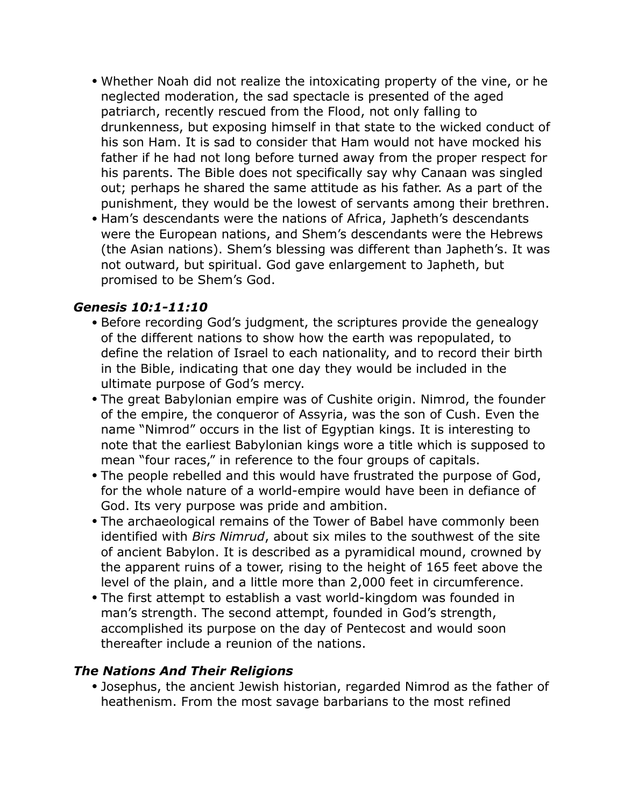- Whether Noah did not realize the intoxicating property of the vine, or he neglected moderation, the sad spectacle is presented of the aged patriarch, recently rescued from the Flood, not only falling to drunkenness, but exposing himself in that state to the wicked conduct of his son Ham. It is sad to consider that Ham would not have mocked his father if he had not long before turned away from the proper respect for his parents. The Bible does not specifically say why Canaan was singled out; perhaps he shared the same attitude as his father. As a part of the punishment, they would be the lowest of servants among their brethren.
- Ham's descendants were the nations of Africa, Japheth's descendants were the European nations, and Shem's descendants were the Hebrews (the Asian nations). Shem's blessing was different than Japheth's. It was not outward, but spiritual. God gave enlargement to Japheth, but promised to be Shem's God.

#### *Genesis 10:1-11:10*

- Before recording God's judgment, the scriptures provide the genealogy of the different nations to show how the earth was repopulated, to define the relation of Israel to each nationality, and to record their birth in the Bible, indicating that one day they would be included in the ultimate purpose of God's mercy.
- The great Babylonian empire was of Cushite origin. Nimrod, the founder of the empire, the conqueror of Assyria, was the son of Cush. Even the name "Nimrod" occurs in the list of Egyptian kings. It is interesting to note that the earliest Babylonian kings wore a title which is supposed to mean "four races," in reference to the four groups of capitals.
- The people rebelled and this would have frustrated the purpose of God, for the whole nature of a world-empire would have been in defiance of God. Its very purpose was pride and ambition.
- The archaeological remains of the Tower of Babel have commonly been identified with *Birs Nimrud*, about six miles to the southwest of the site of ancient Babylon. It is described as a pyramidical mound, crowned by the apparent ruins of a tower, rising to the height of 165 feet above the level of the plain, and a little more than 2,000 feet in circumference.
- The first attempt to establish a vast world-kingdom was founded in man's strength. The second attempt, founded in God's strength, accomplished its purpose on the day of Pentecost and would soon thereafter include a reunion of the nations.

#### *The Nations And Their Religions*

• Josephus, the ancient Jewish historian, regarded Nimrod as the father of heathenism. From the most savage barbarians to the most refined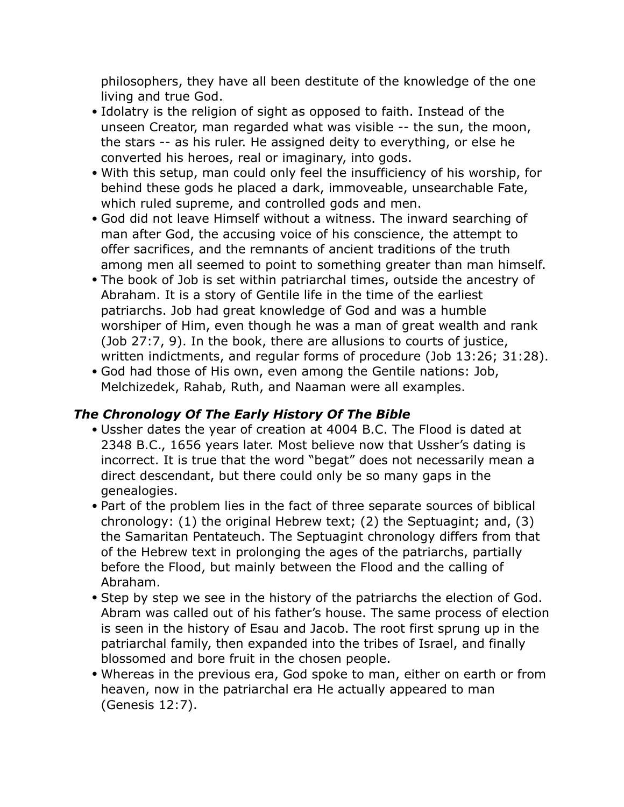philosophers, they have all been destitute of the knowledge of the one living and true God.

- Idolatry is the religion of sight as opposed to faith. Instead of the unseen Creator, man regarded what was visible -- the sun, the moon, the stars -- as his ruler. He assigned deity to everything, or else he converted his heroes, real or imaginary, into gods.
- With this setup, man could only feel the insufficiency of his worship, for behind these gods he placed a dark, immoveable, unsearchable Fate, which ruled supreme, and controlled gods and men.
- God did not leave Himself without a witness. The inward searching of man after God, the accusing voice of his conscience, the attempt to offer sacrifices, and the remnants of ancient traditions of the truth among men all seemed to point to something greater than man himself.
- The book of Job is set within patriarchal times, outside the ancestry of Abraham. It is a story of Gentile life in the time of the earliest patriarchs. Job had great knowledge of God and was a humble worshiper of Him, even though he was a man of great wealth and rank (Job 27:7, 9). In the book, there are allusions to courts of justice, written indictments, and regular forms of procedure (Job 13:26; 31:28).
- God had those of His own, even among the Gentile nations: Job, Melchizedek, Rahab, Ruth, and Naaman were all examples.

#### *The Chronology Of The Early History Of The Bible*

- Ussher dates the year of creation at 4004 B.C. The Flood is dated at 2348 B.C., 1656 years later. Most believe now that Ussher's dating is incorrect. It is true that the word "begat" does not necessarily mean a direct descendant, but there could only be so many gaps in the genealogies.
- Part of the problem lies in the fact of three separate sources of biblical chronology: (1) the original Hebrew text; (2) the Septuagint; and, (3) the Samaritan Pentateuch. The Septuagint chronology differs from that of the Hebrew text in prolonging the ages of the patriarchs, partially before the Flood, but mainly between the Flood and the calling of Abraham.
- Step by step we see in the history of the patriarchs the election of God. Abram was called out of his father's house. The same process of election is seen in the history of Esau and Jacob. The root first sprung up in the patriarchal family, then expanded into the tribes of Israel, and finally blossomed and bore fruit in the chosen people.
- Whereas in the previous era, God spoke to man, either on earth or from heaven, now in the patriarchal era He actually appeared to man (Genesis 12:7).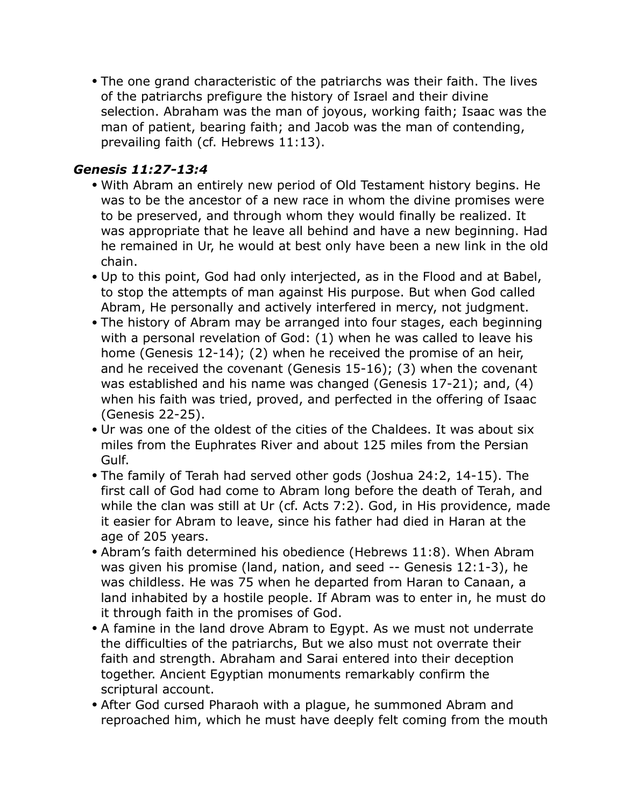• The one grand characteristic of the patriarchs was their faith. The lives of the patriarchs prefigure the history of Israel and their divine selection. Abraham was the man of joyous, working faith; Isaac was the man of patient, bearing faith; and Jacob was the man of contending, prevailing faith (cf. Hebrews 11:13).

#### *Genesis 11:27-13:4*

- With Abram an entirely new period of Old Testament history begins. He was to be the ancestor of a new race in whom the divine promises were to be preserved, and through whom they would finally be realized. It was appropriate that he leave all behind and have a new beginning. Had he remained in Ur, he would at best only have been a new link in the old chain.
- Up to this point, God had only interjected, as in the Flood and at Babel, to stop the attempts of man against His purpose. But when God called Abram, He personally and actively interfered in mercy, not judgment.
- The history of Abram may be arranged into four stages, each beginning with a personal revelation of God: (1) when he was called to leave his home (Genesis 12-14); (2) when he received the promise of an heir, and he received the covenant (Genesis 15-16); (3) when the covenant was established and his name was changed (Genesis 17-21); and, (4) when his faith was tried, proved, and perfected in the offering of Isaac (Genesis 22-25).
- Ur was one of the oldest of the cities of the Chaldees. It was about six miles from the Euphrates River and about 125 miles from the Persian Gulf.
- The family of Terah had served other gods (Joshua 24:2, 14-15). The first call of God had come to Abram long before the death of Terah, and while the clan was still at Ur (cf. Acts 7:2). God, in His providence, made it easier for Abram to leave, since his father had died in Haran at the age of 205 years.
- Abram's faith determined his obedience (Hebrews 11:8). When Abram was given his promise (land, nation, and seed -- Genesis 12:1-3), he was childless. He was 75 when he departed from Haran to Canaan, a land inhabited by a hostile people. If Abram was to enter in, he must do it through faith in the promises of God.
- A famine in the land drove Abram to Egypt. As we must not underrate the difficulties of the patriarchs, But we also must not overrate their faith and strength. Abraham and Sarai entered into their deception together. Ancient Egyptian monuments remarkably confirm the scriptural account.
- After God cursed Pharaoh with a plague, he summoned Abram and reproached him, which he must have deeply felt coming from the mouth